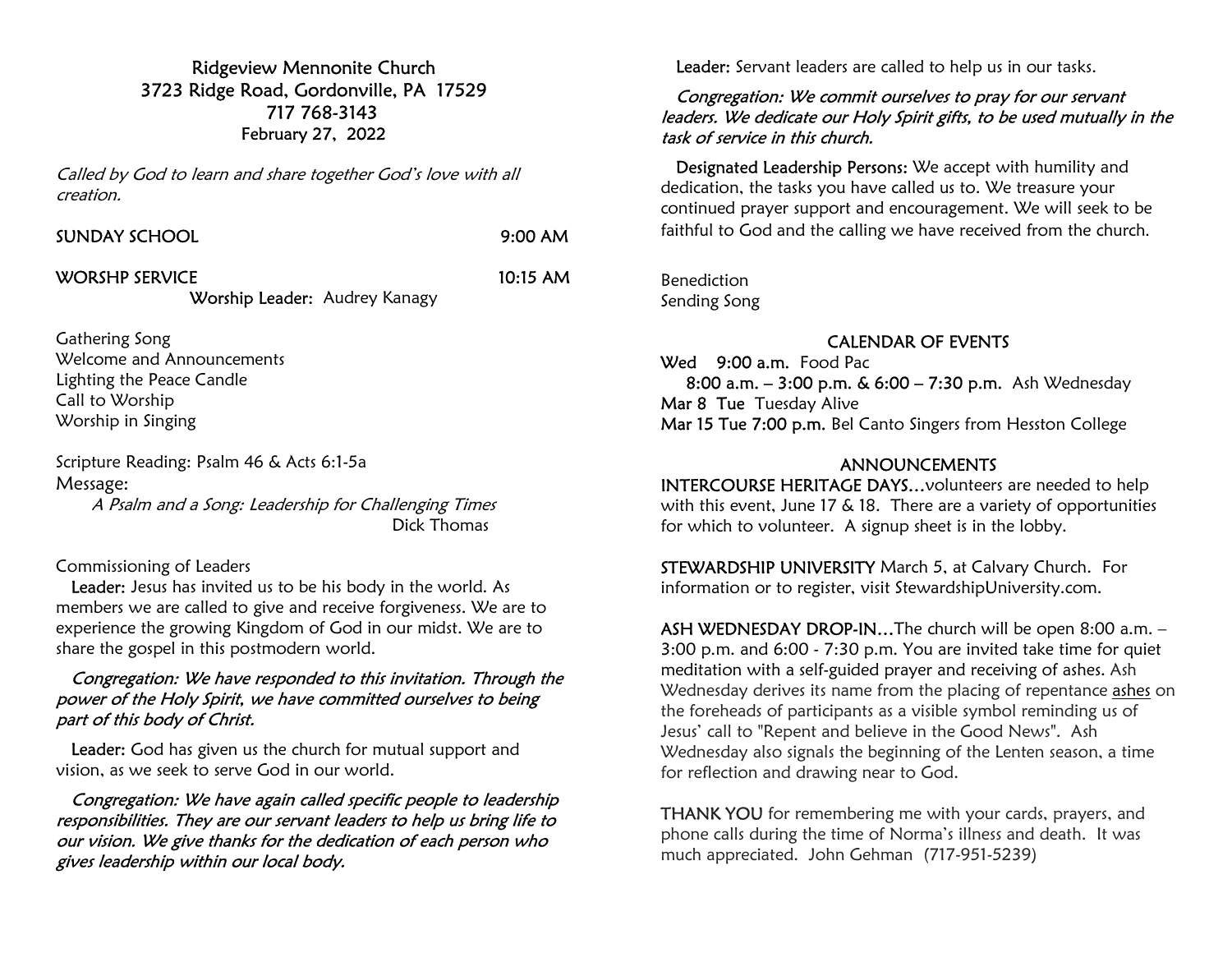Ridgeview Mennonite Church 3723 Ridge Road, Gordonville, PA 17529 717 768-3143 February 27, 2022

Called by God to learn and share together God's love with all creation.

| SUNDAY SCHOOL  | 9:00 AM    |
|----------------|------------|
| WORSHP SERVICE | $10:15$ AM |

Worship Leader: Audrey Kanagy

Gathering Song Welcome and Announcements Lighting the Peace Candle Call to Worship Worship in Singing

Scripture Reading: Psalm 46 & Acts 6:1-5a Message:

 A Psalm and a Song: Leadership for Challenging Times Dick Thomas

#### Commissioning of Leaders

Leader: Jesus has invited us to be his body in the world. As members we are called to give and receive forgiveness. We are to experience the growing Kingdom of God in our midst. We are to share the gospel in this postmodern world.

#### Congregation: We have responded to this invitation. Through the power of the Holy Spirit, we have committed ourselves to being part of this body of Christ.

Leader: God has given us the church for mutual support and vision, as we seek to serve God in our world.

 Congregation: We have again called specific people to leadership responsibilities. They are our servant leaders to help us bring life to our vision. We give thanks for the dedication of each person who gives leadership within our local body.

Leader: Servant leaders are called to help us in our tasks.

### Congregation: We commit ourselves to pray for our servant leaders. We dedicate our Holy Spirit gifts, to be used mutually in the task of service in this church.

 Designated Leadership Persons: We accept with humility and dedication, the tasks you have called us to. We treasure your continued prayer support and encouragement. We will seek to be faithful to God and the calling we have received from the church.

Benediction Sending Song

# CALENDAR OF EVENTS

Wed 9:00 a.m. Food Pac 8:00 a.m. – 3:00 p.m. & 6:00 – 7:30 p.m. Ash Wednesday Mar 8 Tue Tuesday Alive Mar 15 Tue 7:00 p.m. Bel Canto Singers from Hesston College

## ANNOUNCEMENTS

INTERCOURSE HERITAGE DAYS…volunteers are needed to help with this event, June 17 & 18. There are a variety of opportunities for which to volunteer. A signup sheet is in the lobby.

STEWARDSHIP UNIVERSITY March 5, at Calvary Church. For information or to register, visit StewardshipUniversity.com.

ASH WEDNESDAY DROP-IN…The church will be open 8:00 a.m. – 3:00 p.m. and 6:00 - 7:30 p.m. You are invited take time for quiet meditation with a self-guided prayer and receiving of ashes. Ash Wednesday derives its name from the placing of repentance ashes on the foreheads of participants as a visible symbol reminding us of Jesus' call to "Repent and believe in the Good News". Ash Wednesday also signals the beginning of the Lenten season, a time for reflection and drawing near to God.

THANK YOU for remembering me with your cards, prayers, and phone calls during the time of Norma's illness and death. It was much appreciated. John Gehman (717-951-5239)